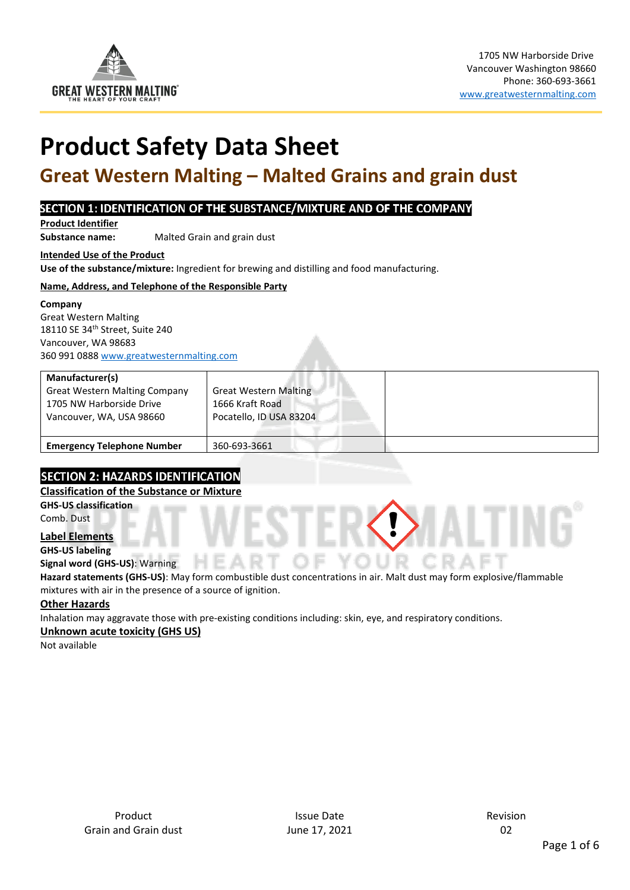

# **Product Safety Data Sheet**

## <span id="page-0-0"></span>**Great Western Malting – Malted Grains and grain dust**

#### SECTION 1: IDENTIFICATION OF THE SUBSTANCE/MIXTURE AND OF THE COMPANY

**Product Identifier** 

**Substance name:** Malted Grain and grain dust

**Intended Use of the Product** 

**Use of the substance/mixture:** Ingredient for brewing and distilling and food manufacturing.

#### **Name, Address, and Telephone of the Responsible Party**

#### **Company**

Great Western Malting 18110 SE 34th Street, Suite 240 Vancouver, WA 98683 360 991 0888 [www.greatwesternmalting.com](http://www.greatwesternmalting.com/)

| Manufacturer(s)<br><b>Great Western Malting Company</b><br>1705 NW Harborside Drive<br>Vancouver, WA, USA 98660 | <b>Great Western Malting</b><br>1666 Kraft Road<br>Pocatello, ID USA 83204 |  |
|-----------------------------------------------------------------------------------------------------------------|----------------------------------------------------------------------------|--|
| <b>Emergency Telephone Number</b>                                                                               | 360-693-3661                                                               |  |

### **SECTION 2: HAZARDS IDENTIFICATION**

#### **Classification of the Substance or Mixture**

**GHS-US classification**  Comb. Dust

**Label Elements** 

**GHS-US labeling** 

**Signal word (GHS-US)**: Warning

**Hazard statements (GHS-US)**: May form combustible dust concentrations in air. Malt dust may form explosive/flammable mixtures with air in the presence of a source of ignition.

#### **Other Hazards**

Inhalation may aggravate those with pre-existing conditions including: skin, eye, and respiratory conditions.

#### **Unknown acute toxicity (GHS US)**

Not available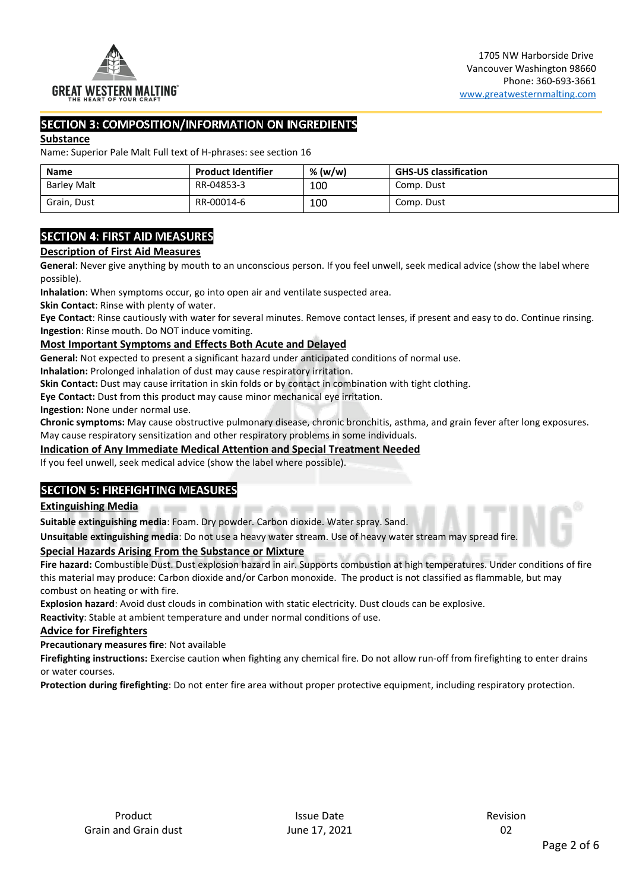

#### **SECTION 3: COMPOSITION/INFORMATION ON INGREDIENTS**

#### **Substance**

Name: [Superior Pale Malt](#page-0-0) Full text of H-phrases: see section 16

| <b>Name</b>        | <b>Product Identifier</b> | % (w/w) | <b>GHS-US classification</b> |
|--------------------|---------------------------|---------|------------------------------|
| <b>Barley Malt</b> | RR-04853-3                | 100     | Comp. Dust                   |
| Grain, Dust        | RR-00014-6                | 100     | Comp. Dust                   |

#### **SECTION 4: FIRST AID MEASURES**

#### **Description of First Aid Measures**

**General**: Never give anything by mouth to an unconscious person. If you feel unwell, seek medical advice (show the label where possible).

**Inhalation**: When symptoms occur, go into open air and ventilate suspected area.

**Skin Contact**: Rinse with plenty of water.

**Eye Contact**: Rinse cautiously with water for several minutes. Remove contact lenses, if present and easy to do. Continue rinsing. **Ingestion**: Rinse mouth. Do NOT induce vomiting.

#### **Most Important Symptoms and Effects Both Acute and Delayed**

**General:** Not expected to present a significant hazard under anticipated conditions of normal use.

**Inhalation:** Prolonged inhalation of dust may cause respiratory irritation.

**Skin Contact:** Dust may cause irritation in skin folds or by contact in combination with tight clothing.

**Eye Contact:** Dust from this product may cause minor mechanical eye irritation.

**Ingestion:** None under normal use.

**Chronic symptoms:** May cause obstructive pulmonary disease, chronic bronchitis, asthma, and grain fever after long exposures. May cause respiratory sensitization and other respiratory problems in some individuals.

#### **Indication of Any Immediate Medical Attention and Special Treatment Needed**

If you feel unwell, seek medical advice (show the label where possible).

#### **SECTION 5: FIREFIGHTING MEASURES**

#### **Extinguishing Media**

**Suitable extinguishing media**: Foam. Dry powder. Carbon dioxide. Water spray. Sand.

**Unsuitable extinguishing media**: Do not use a heavy water stream. Use of heavy water stream may spread fire.

#### **Special Hazards Arising From the Substance or Mixture**

**Fire hazard:** Combustible Dust. Dust explosion hazard in air. Supports combustion at high temperatures. Under conditions of fire this material may produce: Carbon dioxide and/or Carbon monoxide. The product is not classified as flammable, but may combust on heating or with fire.

**Explosion hazard**: Avoid dust clouds in combination with static electricity. Dust clouds can be explosive.

**Reactivity**: Stable at ambient temperature and under normal conditions of use.

#### **Advice for Firefighters**

**Precautionary measures fire**: Not available

**Firefighting instructions:** Exercise caution when fighting any chemical fire. Do not allow run-off from firefighting to enter drains or water courses.

**Protection during firefighting**: Do not enter fire area without proper protective equipment, including respiratory protection.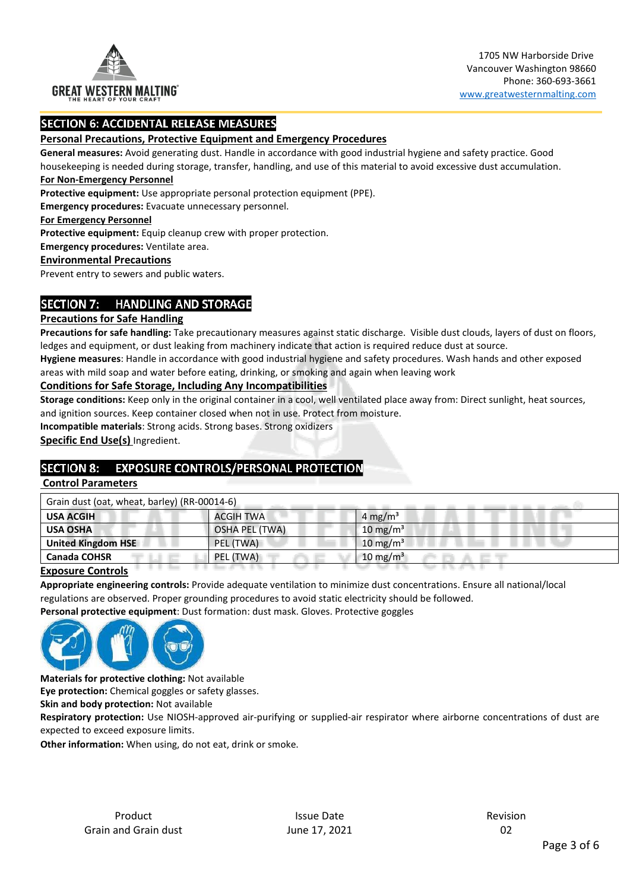

#### **SECTION 6: ACCIDENTAL RELEASE MEASURES**

#### **Personal Precautions, Protective Equipment and Emergency Procedures**

**General measures:** Avoid generating dust. Handle in accordance with good industrial hygiene and safety practice. Good

housekeeping is needed during storage, transfer, handling, and use of this material to avoid excessive dust accumulation. **For Non-Emergency Personnel** 

**Protective equipment:** Use appropriate personal protection equipment (PPE).

**Emergency procedures:** Evacuate unnecessary personnel.

**For Emergency Personnel** 

**Protective equipment:** Equip cleanup crew with proper protection.

**Emergency procedures:** Ventilate area.

#### **Environmental Precautions**

Prevent entry to sewers and public waters.

#### SECTION 7: HANDLING AND STORAGE

#### **Precautions for Safe Handling**

**Precautions for safe handling:** Take precautionary measures against static discharge. Visible dust clouds, layers of dust on floors, ledges and equipment, or dust leaking from machinery indicate that action is required reduce dust at source.

**Hygiene measures**: Handle in accordance with good industrial hygiene and safety procedures. Wash hands and other exposed areas with mild soap and water before eating, drinking, or smoking and again when leaving work

#### **Conditions for Safe Storage, Including Any Incompatibilities**

**Storage conditions:** Keep only in the original container in a cool, well ventilated place away from: Direct sunlight, heat sources, and ignition sources. Keep container closed when not in use. Protect from moisture.

**Incompatible materials**: Strong acids. Strong bases. Strong oxidizers

**Specific End Use(s)** Ingredient.

#### SECTION 8: EXPOSURE CONTROLS/PERSONAL PROTECTION

#### **Control Parameters**

| Grain dust (oat, wheat, barley) (RR-00014-6) |                |                      |
|----------------------------------------------|----------------|----------------------|
| <b>USA ACGIH</b>                             | ACGIH TWA      | 4 mg/m <sup>3</sup>  |
| <b>USA OSHA</b>                              | OSHA PEL (TWA) | 10 mg/m <sup>3</sup> |
| United Kingdom HSE                           | PEL (TWA)      | 10 mg/m <sup>3</sup> |
| <b>Canada COHSR</b>                          | PEL (TWA)      | 10 mg/m <sup>3</sup> |
| .                                            |                |                      |

#### **Exposure Controls**

**Appropriate engineering controls:** Provide adequate ventilation to minimize dust concentrations. Ensure all national/local regulations are observed. Proper grounding procedures to avoid static electricity should be followed.

**Personal protective equipment**: Dust formation: dust mask. Gloves. Protective goggles



**Materials for protective clothing:** Not available

**Eye protection:** Chemical goggles or safety glasses.

**Skin and body protection:** Not available

**Respiratory protection:** Use NIOSH-approved air-purifying or supplied-air respirator where airborne concentrations of dust are expected to exceed exposure limits.

**Other information:** When using, do not eat, drink or smoke.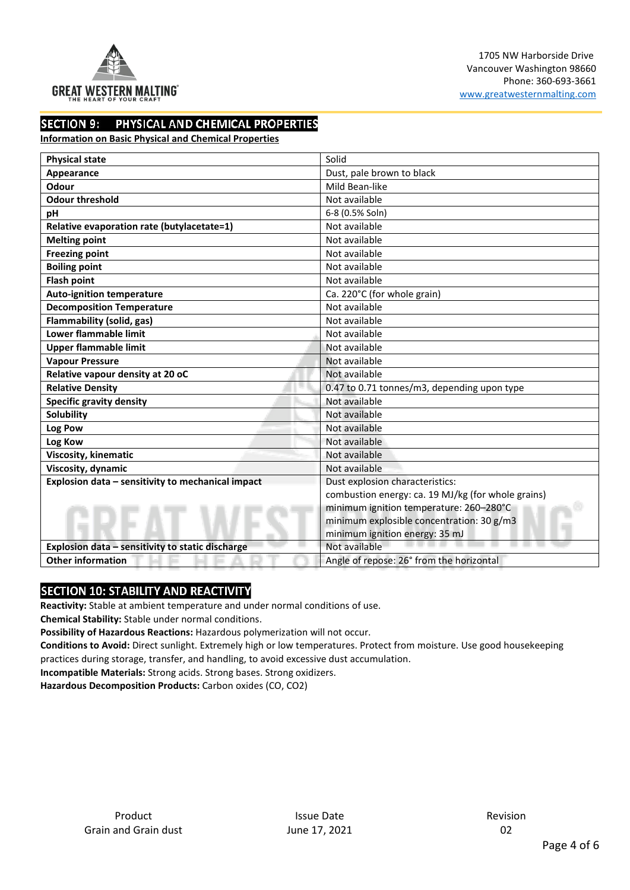

#### **SECTION 9:** PHYSICAL AND CHEMICAL PROPERTIES

#### **Information on Basic Physical and Chemical Properties**

| <b>Physical state</b>                             | Solid                                              |
|---------------------------------------------------|----------------------------------------------------|
| Appearance                                        | Dust, pale brown to black                          |
| Odour                                             | Mild Bean-like                                     |
| <b>Odour threshold</b>                            | Not available                                      |
| pH                                                | 6-8 (0.5% Soln)                                    |
| Relative evaporation rate (butylacetate=1)        | Not available                                      |
| <b>Melting point</b>                              | Not available                                      |
| <b>Freezing point</b>                             | Not available                                      |
| <b>Boiling point</b>                              | Not available                                      |
| <b>Flash point</b>                                | Not available                                      |
| <b>Auto-ignition temperature</b>                  | Ca. 220°C (for whole grain)                        |
| <b>Decomposition Temperature</b>                  | Not available                                      |
| Flammability (solid, gas)                         | Not available                                      |
| Lower flammable limit                             | Not available                                      |
| <b>Upper flammable limit</b>                      | Not available                                      |
| <b>Vapour Pressure</b>                            | Not available                                      |
| Relative vapour density at 20 oC                  | Not available                                      |
| <b>Relative Density</b>                           | 0.47 to 0.71 tonnes/m3, depending upon type        |
| <b>Specific gravity density</b>                   | Not available                                      |
| Solubility                                        | Not available                                      |
| Log Pow                                           | Not available                                      |
| Log Kow                                           | Not available                                      |
| Viscosity, kinematic                              | Not available                                      |
| Viscosity, dynamic                                | Not available                                      |
| Explosion data - sensitivity to mechanical impact | Dust explosion characteristics:                    |
|                                                   | combustion energy: ca. 19 MJ/kg (for whole grains) |
|                                                   | minimum ignition temperature: 260-280°C            |
|                                                   | minimum explosible concentration: 30 g/m3          |
|                                                   | minimum ignition energy: 35 mJ                     |
| Explosion data - sensitivity to static discharge  | Not available                                      |
| <b>Other information</b>                          | Angle of repose: 26° from the horizontal           |

#### SECTION 10: STABILITY AND REACTIVITY

**Reactivity:** Stable at ambient temperature and under normal conditions of use.

**Chemical Stability:** Stable under normal conditions.

**Possibility of Hazardous Reactions:** Hazardous polymerization will not occur.

**Conditions to Avoid:** Direct sunlight. Extremely high or low temperatures. Protect from moisture. Use good housekeeping practices during storage, transfer, and handling, to avoid excessive dust accumulation.

**Incompatible Materials:** Strong acids. Strong bases. Strong oxidizers.

**Hazardous Decomposition Products:** Carbon oxides (CO, CO2)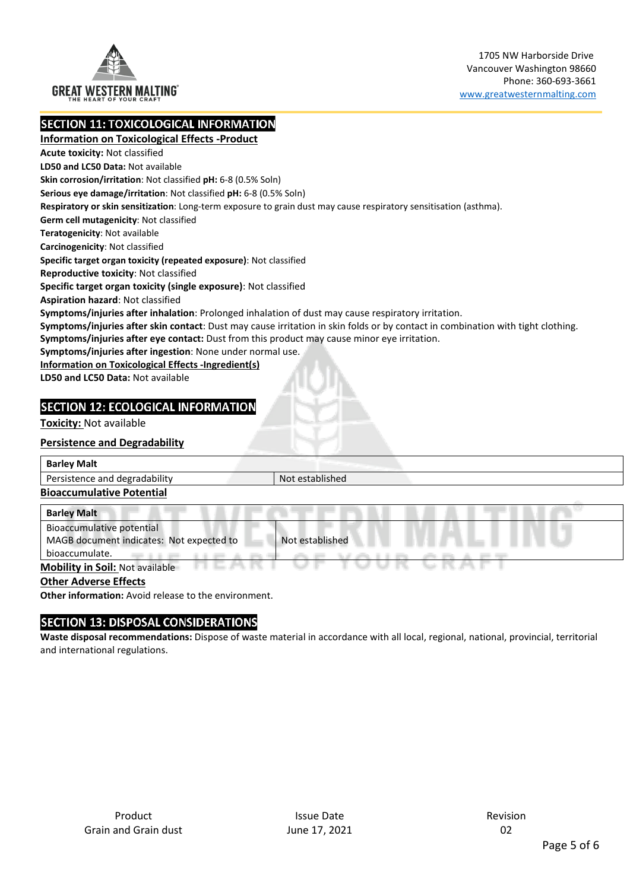

**SECTION 11: TOXICOLOGICAL INFORMATION** 

**Information on Toxicological Effects -Product Acute toxicity:** Not classified **LD50 and LC50 Data:** Not available **Skin corrosion/irritation**: Not classified **pH:** 6-8 (0.5% Soln) **Serious eye damage/irritation**: Not classified **pH:** 6-8 (0.5% Soln) **Respiratory or skin sensitization**: Long-term exposure to grain dust may cause respiratory sensitisation (asthma). **Germ cell mutagenicity**: Not classified **Teratogenicity**: Not available **Carcinogenicity**: Not classified **Specific target organ toxicity (repeated exposure)**: Not classified **Reproductive toxicity**: Not classified **Specific target organ toxicity (single exposure)**: Not classified **Aspiration hazard**: Not classified **Symptoms/injuries after inhalation**: Prolonged inhalation of dust may cause respiratory irritation. **Symptoms/injuries after skin contact**: Dust may cause irritation in skin folds or by contact in combination with tight clothing. **Symptoms/injuries after eye contact:** Dust from this product may cause minor eye irritation. **Symptoms/injuries after ingestion**: None under normal use. **Information on Toxicological Effects -Ingredient(s) LD50 and LC50 Data:** Not available

#### **SECTION 12: ECOLOGICAL INFORMATION**

**Toxicity:** Not available

#### **Persistence and Degradability**

| <b>Barley Malt</b>                       |                 |  |
|------------------------------------------|-----------------|--|
| Persistence and degradability            | Not established |  |
| <b>Bioaccumulative Potential</b>         |                 |  |
| <b>Barley Malt</b>                       |                 |  |
| Bioaccumulative potential                |                 |  |
| MAGB document indicates: Not expected to | Not established |  |

#### **Mobility in Soil:** Not available

#### **Other Adverse Effects**

bioaccumulate.

**Other information:** Avoid release to the environment.

#### SECTION 13: DISPOSAL CONSIDERATIONS

**Waste disposal recommendations:** Dispose of waste material in accordance with all local, regional, national, provincial, territorial and international regulations.